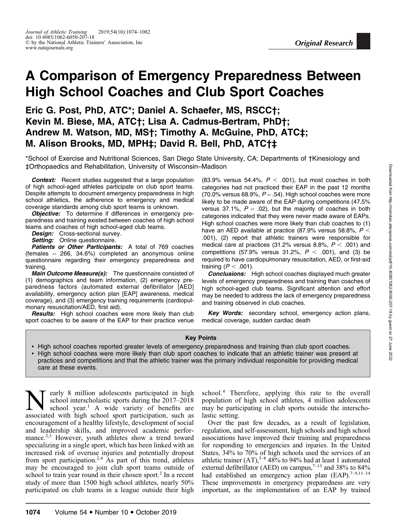# A Comparison of Emergency Preparedness Between High School Coaches and Club Sport Coaches

Eric G. Post, PhD, ATC\*; Daniel A. Schaefer, MS, RSCC†; Kevin M. Biese, MA, ATC†; Lisa A. Cadmus-Bertram, PhD†; Andrew M. Watson, MD, MS†; Timothy A. McGuine, PhD, ATC‡; M. Alison Brooks, MD, MPH‡; David R. Bell, PhD, ATC†‡

\*School of Exercise and Nutritional Sciences, San Diego State University, CA; Departments of †Kinesiology and ‡Orthopaedics and Rehabilitation, University of Wisconsin–Madison

**Context:** Recent studies suggested that a large population of high school-aged athletes participate on club sport teams. Despite attempts to document emergency preparedness in high school athletics, the adherence to emergency and medical coverage standards among club sport teams is unknown.

**Objective:** To determine if differences in emergency preparedness and training existed between coaches of high school teams and coaches of high school-aged club teams.

**Design:** Cross-sectional survey.

Setting: Online questionnaire.

Patients or Other Participants: A total of 769 coaches (females  $= 266, 34.6\%$ ) completed an anonymous online questionnaire regarding their emergency preparedness and training.

Main Outcome Measure(s): The questionnaire consisted of (1) demographics and team information, (2) emergency preparedness factors (automated external defibrillator [AED] availability, emergency action plan [EAP] awareness, medical coverage), and (3) emergency training requirements (cardiopulmonary resuscitation/AED, first aid).

Results: High school coaches were more likely than club sport coaches to be aware of the EAP for their practice venue

(83.9% versus 54.4%,  $P < .001$ ), but most coaches in both categories had not practiced their EAP in the past 12 months (70.0% versus 68.9%,  $P = .54$ ). High school coaches were more likely to be made aware of the EAP during competitions (47.5% versus 37.1%,  $P = .02$ ), but the majority of coaches in both categories indicated that they were never made aware of EAPs. High school coaches were more likely than club coaches to (1) have an AED available at practice (87.9% versus 58.8%,  $P <$ .001), (2) report that athletic trainers were responsible for medical care at practices (31.2% versus 8.8%,  $P < .001$ ) and competitions (57.9% versus 31.2%,  $P < .001$ ), and (3) be required to have cardiopulmonary resuscitation, AED, or first-aid training  $(P < .001)$ .

**Conclusions:** High school coaches displayed much greater levels of emergency preparedness and training than coaches of high school-aged club teams. Significant attention and effort may be needed to address the lack of emergency preparedness and training observed in club coaches.

Key Words: secondary school, emergency action plans, medical coverage, sudden cardiac death

### Key Points

- High school coaches reported greater levels of emergency preparedness and training than club sport coaches. - High school coaches were more likely than club sport coaches to indicate that an athletic trainer was present at practices and competitions and that the athletic trainer was the primary individual responsible for providing medical care at these events.

**Nearly** 8 million adolescents participated in high school interscholastic sports during the 2017–2018 school year.<sup>1</sup> A wide variety of benefits are associated with high school sport participation such as school interscholastic sports during the 2017–2018 associated with high school sport participation, such as encouragement of a healthy lifestyle, development of social and leadership skills, and improved academic performance.<sup>2,3</sup> However, youth athletes show a trend toward specializing in a single sport, which has been linked with an increased risk of overuse injuries and potentially dropout from sport participation.<sup>2,4</sup> As part of this trend, athletes may be encouraged to join club sport teams outside of school to train year round in their chosen sport.<sup>2</sup> In a recent study of more than 1500 high school athletes, nearly 50% participated on club teams in a league outside their high

school.<sup>4</sup> Therefore, applying this rate to the overall population of high school athletes, 4 million adolescents may be participating in club sports outside the interscholastic setting.

Over the past few decades, as a result of legislation, regulation, and self-assessment, high schools and high school associations have improved their training and preparedness for responding to emergencies and injuries. In the United States, 34% to 70% of high schools used the services of an athletic trainer  $(AT)$ ,<sup>5–8</sup> 48% to 94% had at least 1 automated external defibrillator (AED) on campus,  $7-13$  and 38% to 84% had established an emergency action plan (EAP).<sup>7–9,11–14</sup> These improvements in emergency preparedness are very important, as the implementation of an EAP by trained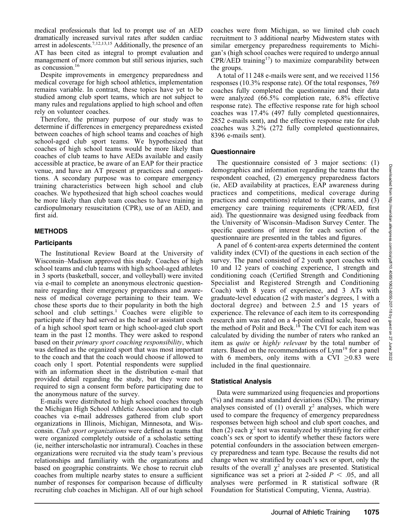medical professionals that led to prompt use of an AED dramatically increased survival rates after sudden cardiac arrest in adolescents.<sup>7,12,13,15</sup> Additionally, the presence of an AT has been cited as integral to prompt evaluation and management of more common but still serious injuries, such as concussion.16

Despite improvements in emergency preparedness and medical coverage for high school athletics, implementation remains variable. In contrast, these topics have yet to be studied among club sport teams, which are not subject to many rules and regulations applied to high school and often rely on volunteer coaches.

Therefore, the primary purpose of our study was to determine if differences in emergency preparedness existed between coaches of high school teams and coaches of high school-aged club sport teams. We hypothesized that coaches of high school teams would be more likely than coaches of club teams to have AEDs available and easily accessible at practice, be aware of an EAP for their practice venue, and have an AT present at practices and competitions. A secondary purpose was to compare emergency training characteristics between high school and club coaches. We hypothesized that high school coaches would be more likely than club team coaches to have training in cardiopulmonary resuscitation (CPR), use of an AED, and first aid.

# METHODS

## **Participants**

The Institutional Review Board at the University of Wisconsin–Madison approved this study. Coaches of high school teams and club teams with high school-aged athletes in 3 sports (basketball, soccer, and volleyball) were invited via e-mail to complete an anonymous electronic questionnaire regarding their emergency preparedness and awareness of medical coverage pertaining to their team. We chose these sports due to their popularity in both the high school and club settings.<sup>1</sup> Coaches were eligible to participate if they had served as the head or assistant coach of a high school sport team or high school-aged club sport team in the past 12 months. They were asked to respond based on their primary sport coaching responsibility, which was defined as the organized sport that was most important to the coach and that the coach would choose if allowed to coach only 1 sport. Potential respondents were supplied with an information sheet in the distribution e-mail that provided detail regarding the study, but they were not required to sign a consent form before participating due to the anonymous nature of the survey.

E-mails were distributed to high school coaches through the Michigan High School Athletic Association and to club coaches via e-mail addresses gathered from club sport organizations in Illinois, Michigan, Minnesota, and Wisconsin. Club sport organizations were defined as teams that were organized completely outside of a scholastic setting (ie, neither interscholastic nor intramural). Coaches in these organizations were recruited via the study team's previous relationships and familiarity with the organizations and based on geographic constraints. We chose to recruit club coaches from multiple nearby states to ensure a sufficient number of responses for comparison because of difficulty recruiting club coaches in Michigan. All of our high school coaches were from Michigan, so we limited club coach recruitment to 3 additional nearby Midwestern states with similar emergency preparedness requirements to Michigan's (high school coaches were required to undergo annual  $CPR/AED$  training<sup>17</sup>) to maximize comparability between the groups.

A total of 11 248 e-mails were sent, and we received 1156 responses (10.3% response rate). Of the total responses, 769 coaches fully completed the questionnaire and their data were analyzed (66.5% completion rate, 6.8% effective response rate). The effective response rate for high school coaches was 17.4% (497 fully completed questionnaires, 2852 e-mails sent), and the effective response rate for club coaches was 3.2% (272 fully completed questionnaires, 8396 e-mails sent).

## **Questionnaire**

The questionnaire consisted of 3 major sections: (1) demographics and information regarding the teams that the respondent coached, (2) emergency preparedness factors (ie, AED availability at practices, EAP awareness during practices and competitions, medical coverage during practices and competitions) related to their teams, and (3) emergency care training requirements (CPR/AED, first aid). The questionnaire was designed using feedback from the University of Wisconsin–Madison Survey Center. The specific questions of interest for each section of the questionnaire are presented in the tables and figures.

A panel of 6 content-area experts determined the content validity index (CVI) of the questions in each section of the survey. The panel consisted of 2 youth sport coaches with 10 and 12 years of coaching experience, 1 strength and conditioning coach (Certified Strength and Conditioning Specialist and Registered Strength and Conditioning Coach) with 8 years of experience, and 3 ATs with graduate-level education (2 with master's degrees, 1 with a doctoral degree) and between 2.5 and 15 years of experience. The relevance of each item to its corresponding research aim was rated on a 4-point ordinal scale, based on the method of Polit and Beck.<sup>18</sup> The CVI for each item was calculated by dividing the number of raters who ranked an item as quite or highly relevant by the total number of raters. Based on the recommendations of Lynn<sup>19</sup> for a panel with 6 members, only items with a CVI  $>0.83$  were included in the final questionnaire.

# Statistical Analysis

Data were summarized using frequencies and proportions (%) and means and standard deviations (SDs). The primary analyses consisted of (1) overall  $\chi^2$  analyses, which were used to compare the frequency of emergency preparedness responses between high school and club sport coaches, and then (2) each  $\chi^2$  test was reanalyzed by stratifying for either coach's sex or sport to identify whether these factors were potential confounders in the association between emergency preparedness and team type. Because the results did not change when we stratified by coach's sex or sport, only the results of the overall  $\chi^2$  analyses are presented. Statistical significance was set a priori at 2-sided  $P < .05$ , and all analyses were performed in R statistical software (R Foundation for Statistical Computing, Vienna, Austria).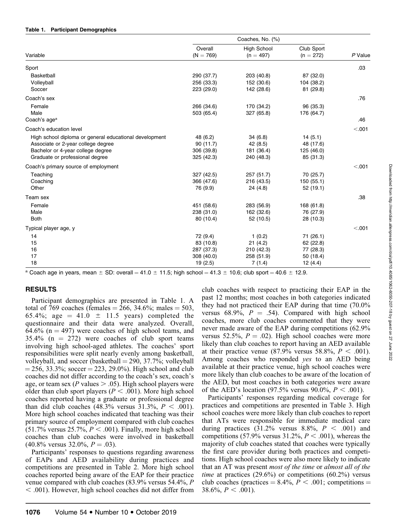### Table 1. Participant Demographics

|                                                        | Overall     | <b>High School</b> | Club Sport  |           |
|--------------------------------------------------------|-------------|--------------------|-------------|-----------|
| Variable                                               | $(N = 769)$ | $(n = 497)$        | $(n = 272)$ | $P$ Value |
| Sport                                                  |             |                    |             | .03       |
| Basketball                                             | 290 (37.7)  | 203 (40.8)         | 87 (32.0)   |           |
| Volleyball                                             | 256 (33.3)  | 152 (30.6)         | 104 (38.2)  |           |
| Soccer                                                 | 223 (29.0)  | 142 (28.6)         | 81 (29.8)   |           |
| Coach's sex                                            |             |                    |             | .76       |
| Female                                                 | 266 (34.6)  | 170 (34.2)         | 96 (35.3)   |           |
| Male                                                   | 503 (65.4)  | 327 (65.8)         | 176 (64.7)  |           |
| Coach's age <sup>a</sup>                               |             |                    |             | .46       |
| Coach's education level                                |             |                    |             | < .001    |
| High school diploma or general educational development | 48 (6.2)    | 34 (6.8)           | 14(5.1)     |           |
| Associate or 2-year college degree                     | 90(11.7)    | 42 (8.5)           | 48 (17.6)   |           |
| Bachelor or 4-year college degree                      | 306 (39.8)  | 181 (36.4)         | 125 (46.0)  |           |
| Graduate or professional degree                        | 325 (42.3)  | 240 (48.3)         | 85 (31.3)   |           |
| Coach's primary source of employment                   |             |                    |             | < .001    |
| Teaching                                               | 327 (42.5)  | 257 (51.7)         | 70 (25.7)   |           |
| Coaching                                               | 366 (47.6)  | 216 (43.5)         | 150 (55.1)  |           |
| Other                                                  | 76 (9.9)    | 24 (4.8)           | 52 (19.1)   |           |
| Team sex                                               |             |                    |             | .38       |
| Female                                                 | 451 (58.6)  | 283 (56.9)         | 168 (61.8)  |           |
| Male                                                   | 238 (31.0)  | 162 (32.6)         | 76 (27.9)   |           |
| <b>Both</b>                                            | 80 (10.4)   | 52 (10.5)          | 28 (10.3)   |           |
| Typical player age, y                                  |             |                    |             | < .001    |
| 14                                                     | 72 (9.4)    | 1(0.2)             | 71 (26.1)   |           |
| 15                                                     | 83 (10.8)   | 21(4.2)            | 62 (22.8)   |           |
| 16                                                     | 287 (37.3)  | 210 (42.3)         | 77 (28.3)   |           |
| 17                                                     | 308 (40.0)  | 258 (51.9)         | 50 (18.4)   |           |
| 18                                                     | 19(2.5)     | 7(1.4)             | 12 (4.4)    |           |

<sup>a</sup> Coach age in years, mean  $\pm$  SD: overall = 41.0  $\pm$  11.5; high school = 41.3  $\pm$  10.6; club sport = 40.6  $\pm$  12.9.

# RESULTS

Participant demographics are presented in Table 1. A total of 769 coaches (females = 266, 34.6%; males = 503, 65.4%; age = 41.0  $\pm$  11.5 years) completed the questionnaire and their data were analyzed. Overall,  $64.6\%$  (n = 497) were coaches of high school teams, and  $35.4\%$  (n = 272) were coaches of club sport teams involving high school-aged athletes. The coaches' sport responsibilities were split nearly evenly among basketball, volleyball, and soccer (basketball  $=$  290, 37.7%; volleyball  $= 256, 33.3\%$ ; soccer  $= 223, 29.0\%$ ). High school and club coaches did not differ according to the coach's sex, coach's age, or team sex (P values  $> .05$ ). High school players were older than club sport players ( $P < .001$ ). More high school coaches reported having a graduate or professional degree than did club coaches (48.3% versus 31.3%,  $P < .001$ ). More high school coaches indicated that teaching was their primary source of employment compared with club coaches  $(51.7\%$  versus 25.7%,  $P < .001$ ). Finally, more high school coaches than club coaches were involved in basketball  $(40.8\%$  versus 32.0%,  $P = .03$ ).

Participants' responses to questions regarding awareness of EAPs and AED availability during practices and competitions are presented in Table 2. More high school coaches reported being aware of the EAP for their practice venue compared with club coaches (83.9% versus 54.4%, P  $<$  .001). However, high school coaches did not differ from club coaches with respect to practicing their EAP in the past 12 months; most coaches in both categories indicated they had not practiced their EAP during that time (70.0% versus 68.9%,  $P = .54$ ). Compared with high school coaches, more club coaches commented that they were never made aware of the EAP during competitions (62.9% versus 52.5%,  $P = .02$ ). High school coaches were more likely than club coaches to report having an AED available at their practice venue (87.9% versus 58.8%,  $P < .001$ ). Among coaches who responded yes to an AED being available at their practice venue, high school coaches were more likely than club coaches to be aware of the location of the AED, but most coaches in both categories were aware of the AED's location (97.5% versus 90.0%,  $P < .001$ ).

Participants' responses regarding medical coverage for practices and competitions are presented in Table 3. High school coaches were more likely than club coaches to report that ATs were responsible for immediate medical care during practices  $(31.2\%$  versus 8.8%,  $P < .001$ ) and competitions (57.9% versus 31.2%,  $P < .001$ ), whereas the majority of club coaches stated that coaches were typically the first care provider during both practices and competitions. High school coaches were also more likely to indicate that an AT was present most of the time or almost all of the *time* at practices  $(29.6\%)$  or competitions  $(60.2\%)$  versus club coaches (practices  $= 8.4\%, P < .001$ ; competitions  $=$ 38.6%,  $P < .001$ ).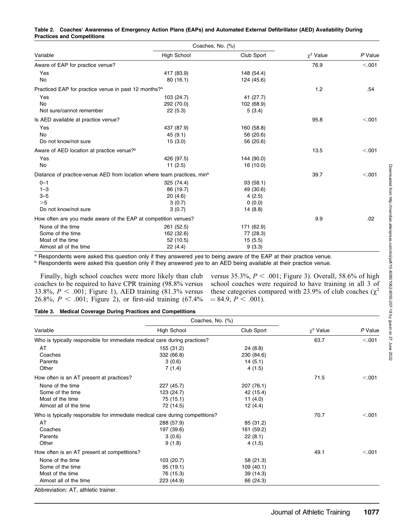|                                                                                     | Coaches, No. (%)   |            |                |         |
|-------------------------------------------------------------------------------------|--------------------|------------|----------------|---------|
| Variable                                                                            | <b>High School</b> | Club Sport | $\chi^2$ Value | P Value |
| Aware of EAP for practice venue?                                                    |                    |            | 76.9           | < 0.001 |
| Yes                                                                                 | 417 (83.9)         | 148 (54.4) |                |         |
| No                                                                                  | 80(16.1)           | 124 (45.6) |                |         |
| Practiced EAP for practice venue in past 12 months? <sup>a</sup>                    |                    |            | 1.2            | .54     |
| Yes                                                                                 | 103 (24.7)         | 41 (27.7)  |                |         |
| <b>No</b>                                                                           | 292 (70.0)         | 102 (68.9) |                |         |
| Not sure/cannot remember                                                            | 22(5.3)            | 5(3.4)     |                |         |
| Is AED available at practice venue?                                                 |                    |            | 95.8           | < .001  |
| Yes                                                                                 | 437 (87.9)         | 160 (58.8) |                |         |
| <b>No</b>                                                                           | 45(9.1)            | 56 (20.6)  |                |         |
| Do not know/not sure                                                                | 15(3.0)            | 56 (20.6)  |                |         |
| Aware of AED location at practice venue? <sup>b</sup>                               |                    |            | 13.5           | < .001  |
| Yes                                                                                 | 426 (97.5)         | 144 (90.0) |                |         |
| No                                                                                  | 11(2.5)            | 16(10.0)   |                |         |
| Distance of practice-venue AED from location where team practices, min <sup>b</sup> |                    |            | 39.7           | < .001  |
| $0 - 1$                                                                             | 325 (74.4)         | 93(58.1)   |                |         |
| $1 - 3$                                                                             | 86 (19.7)          | 49 (30.6)  |                |         |
| $3 - 5$                                                                             | 20(4.6)            | 4(2.5)     |                |         |
| >5                                                                                  | 3(0.7)             | 0(0.0)     |                |         |
| Do not know/not sure                                                                | 3(0.7)             | 14(8.8)    |                |         |
| How often are you made aware of the EAP at competition venues?                      |                    | 9.9        | .02            |         |
| None of the time                                                                    | 261 (52.5)         | 171 (62.9) |                |         |
| Some of the time                                                                    | 162 (32.6)         | 77 (28.3)  |                |         |
| Most of the time                                                                    | 52 (10.5)          | 15(5.5)    |                |         |
| Almost all of the time                                                              | 22 (4.4)           | 9(3.3)     |                |         |

### Table 2. Coaches' Awareness of Emergency Action Plans (EAPs) and Automated External Defibrillator (AED) Availability During Practices and Competitions

a Respondents were asked this question only if they answered yes to being aware of the EAP at their practice venue.

**b Respondents were asked this question only if they answered yes to an AED being available at their practice venue.** 

Finally, high school coaches were more likely than club coaches to be required to have CPR training (98.8% versus 33.8%,  $P < .001$ ; Figure 1), AED training (81.3% versus 26.8%,  $P < .001$ ; Figure 2), or first-aid training (67.4%)

versus 35.3%,  $P < .001$ ; Figure 3). Overall, 58.6% of high school coaches were required to have training in all 3 of these categories compared with 23.9% of club coaches ( $\chi^2$ )  $= 84.9, P < .001$ ).

#### Table 3. Medical Coverage During Practices and Competitions

|                                                                              | Coaches, No. (%)   |            |                  |         |
|------------------------------------------------------------------------------|--------------------|------------|------------------|---------|
| Variable                                                                     | <b>High School</b> | Club Sport | $\gamma^2$ Value | P Value |
| Who is typically responsible for immediate medical care during practices?    |                    |            | 63.7             | < .001  |
| AT                                                                           | 155 (31.2)         | 24(8.8)    |                  |         |
| Coaches                                                                      | 332 (66.8)         | 230 (84.6) |                  |         |
| Parents                                                                      | 3(0.6)             | 14(5.1)    |                  |         |
| Other                                                                        | 7(1.4)             | 4(1.5)     |                  |         |
| How often is an AT present at practices?                                     |                    |            | 71.5             | < .001  |
| None of the time                                                             | 227 (45.7)         | 207 (76.1) |                  |         |
| Some of the time                                                             | 123 (24.7)         | 42 (15.4)  |                  |         |
| Most of the time                                                             | 75 (15.1)          | 11 $(4.0)$ |                  |         |
| Almost all of the time                                                       | 72 (14.5)          | 12(4.4)    |                  |         |
| Who is typically responsible for immediate medical care during competitions? |                    |            | 70.7             | < .001  |
| AT                                                                           | 288 (57.9)         | 85 (31.2)  |                  |         |
| Coaches                                                                      | 197 (39.6)         | 161 (59.2) |                  |         |
| Parents                                                                      | 3(0.6)             | 22(8.1)    |                  |         |
| Other                                                                        | 9(1.8)             | 4 (1.5)    |                  |         |
| How often is an AT present at competitions?                                  |                    |            | 49.1             | < .001  |
| None of the time                                                             | 103 (20.7)         | 58 (21.3)  |                  |         |
| Some of the time                                                             | 95(19.1)           | 109(40.1)  |                  |         |
| Most of the time                                                             | 76 (15.3)          | 39(14.3)   |                  |         |
| Almost all of the time                                                       | 223 (44.9)         | 66 (24.3)  |                  |         |
| Abbreviation: AT. athletic trainer.                                          |                    |            |                  |         |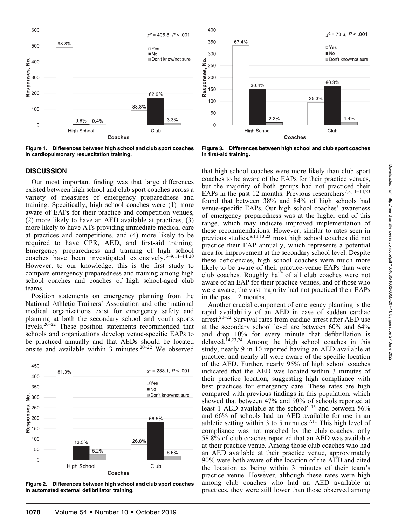

Figure 1. Differences between high school and club sport coaches in cardiopulmonary resuscitation training.



Figure 3. Differences between high school and club sport coaches in first-aid training.

## **DISCUSSION**

Our most important finding was that large differences existed between high school and club sport coaches across a variety of measures of emergency preparedness and training. Specifically, high school coaches were (1) more aware of EAPs for their practice and competition venues, (2) more likely to have an AED available at practices, (3) more likely to have ATs providing immediate medical care at practices and competitions, and (4) more likely to be required to have CPR, AED, and first-aid training. Emergency preparedness and training of high school coaches have been investigated extensively.<sup>6-9,11-14,20</sup> However, to our knowledge, this is the first study to compare emergency preparedness and training among high school coaches and coaches of high school-aged club teams.

Position statements on emergency planning from the National Athletic Trainers' Association and other national medical organizations exist for emergency safety and planning at both the secondary school and youth sports levels.20–22 These position statements recommended that schools and organizations develop venue-specific EAPs to be practiced annually and that AEDs should be located onsite and available within 3 minutes.20–22 We observed



Figure 2. Differences between high school and club sport coaches in automated external defibrillator training.

Downloaded from http://meridian.allenpress.com/doi/pdf/10.4085/1062-6050-207-18 by guest on 27 June 2022 Downloaded from http://meridian.allenpress.com/doi/pdf/10.4085/1062-6050-207-18 by guest on 27 June 2022

that high school coaches were more likely than club sport coaches to be aware of the EAPs for their practice venues, but the majority of both groups had not practiced their EAPs in the past 12 months. Previous researchers<sup>7,8,11–14,23</sup> found that between 38% and 84% of high schools had venue-specific EAPs. Our high school coaches' awareness of emergency preparedness was at the higher end of this range, which may indicate improved implementation of these recommendations. However, similar to rates seen in previous studies,<sup>8,11,13,23</sup> most high school coaches did not practice their EAP annually, which represents a potential area for improvement at the secondary school level. Despite these deficiencies, high school coaches were much more likely to be aware of their practice-venue EAPs than were club coaches. Roughly half of all club coaches were not aware of an EAP for their practice venues, and of those who were aware, the vast majority had not practiced their EAPs in the past 12 months.

Another crucial component of emergency planning is the rapid availability of an AED in case of sudden cardiac arrest.<sup>20–22</sup> Survival rates from cardiac arrest after AED use at the secondary school level are between 60% and 64% and drop 10% for every minute that defibrillation is delayed.<sup>14,23,24</sup> Among the high school coaches in this study, nearly 9 in 10 reported having an AED available at practice, and nearly all were aware of the specific location of the AED. Further, nearly 95% of high school coaches indicated that the AED was located within 3 minutes of their practice location, suggesting high compliance with best practices for emergency care. These rates are high compared with previous findings in this population, which showed that between 47% and 90% of schools reported at least 1 AED available at the school<sup>8–13</sup> and between 56% and 66% of schools had an AED available for use in an athletic setting within 3 to 5 minutes.<sup>7,11</sup> This high level of compliance was not matched by the club coaches: only 58.8% of club coaches reported that an AED was available at their practice venue. Among those club coaches who had an AED available at their practice venue, approximately 90% were both aware of the location of the AED and cited the location as being within 3 minutes of their team's practice venue. However, although these rates were high among club coaches who had an AED available at practices, they were still lower than those observed among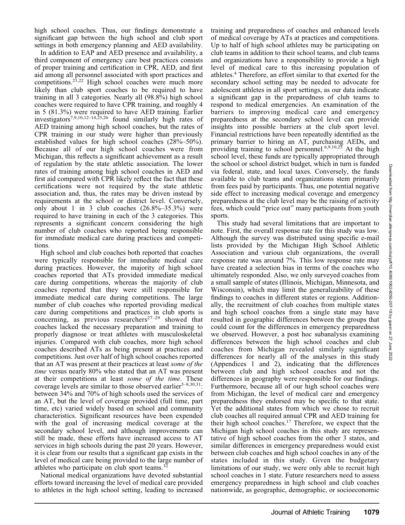high school coaches. Thus, our findings demonstrate a significant gap between the high school and club sport settings in both emergency planning and AED availability.

In addition to EAP and AED presence and availability, a third component of emergency care best practices consists of proper training and certification in CPR, AED, and first aid among all personnel associated with sport practices and competitions.<sup>21,22</sup> High school coaches were much more likely than club sport coaches to be required to have training in all 3 categories. Nearly all (98.8%) high school coaches were required to have CPR training, and roughly 4 in 5 (81.3%) were required to have AED training. Earlier investigators7,9,10,12–14,25,26 found similarly high rates of AED training among high school coaches, but the rates of CPR training in our study were higher than previously established values for high school coaches (28%–50%). Because all of our high school coaches were from Michigan, this reflects a significant achievement as a result of regulation by the state athletic association. The lower rates of training among high school coaches in AED and first aid compared with CPR likely reflect the fact that these certifications were not required by the state athletic association and, thus, the rates may be driven instead by requirements at the school or district level. Conversely, only about 1 in 3 club coaches  $(26.8\% - 35.3\%)$  were required to have training in each of the 3 categories. This represents a significant concern considering the high number of club coaches who reported being responsible for immediate medical care during practices and competitions.

High school and club coaches both reported that coaches were typically responsible for immediate medical care during practices. However, the majority of high school coaches reported that ATs provided immediate medical care during competitions, whereas the majority of club coaches reported that they were still responsible for immediate medical care during competitions. The large number of club coaches who reported providing medical care during competitions and practices in club sports is concerning, as previous researchers<sup>27–29</sup> showed that coaches lacked the necessary preparation and training to properly diagnose or treat athletes with musculoskeletal injuries. Compared with club coaches, more high school coaches described ATs as being present at practices and competitions. Just over half of high school coaches reported that an AT was present at their practices at least some of the time versus nearly 80% who stated that an AT was present at their competitions at least some of the time. These coverage levels are similar to those observed earlier<sup>5–8,30,31</sup>: between 34% and 70% of high schools used the services of an AT, but the level of coverage provided (full time, part time, etc) varied widely based on school and community characteristics. Significant resources have been expended with the goal of increasing medical coverage at the secondary school level, and although improvements can still be made, these efforts have increased access to AT services in high schools during the past 20 years. However, it is clear from our results that a significant gap exists in the level of medical care being provided to the large number of athletes who participate on club sport teams.<sup>32</sup>

National medical organizations have devoted substantial efforts toward increasing the level of medical care provided to athletes in the high school setting, leading to increased training and preparedness of coaches and enhanced levels of medical coverage by ATs at practices and competitions. Up to half of high school athletes may be participating on club teams in addition to their school teams, and club teams and organizations have a responsibility to provide a high level of medical care to this increasing population of athletes.4 Therefore, an effort similar to that exerted for the secondary school setting may be needed to advocate for adolescent athletes in all sport settings, as our data indicate a significant gap in the preparedness of club teams to respond to medical emergencies. An examination of the barriers to improving medical care and emergency preparedness at the secondary school level can provide insights into possible barriers at the club sport level. Financial restrictions have been repeatedly identified as the primary barrier to hiring an AT, purchasing AEDs, and providing training to school personnel.<sup>6,9,10,25</sup> At the high school level, these funds are typically appropriated through the school or school district budget, which in turn is funded via federal, state, and local taxes. Conversely, the funds available to club teams and organizations stem primarily from fees paid by participants. Thus, one potential negative side effect to increasing medical coverage and emergency preparedness at the club level may be the raising of activity fees, which could ''price out'' many participants from youth sports.

This study had several limitations that are important to note. First, the overall response rate for this study was low. Although the survey was distributed using specific e-mail lists provided by the Michigan High School Athletic Association and various club organizations, the overall response rate was around 7%. This low response rate may have created a selection bias in terms of the coaches who ultimately responded. Also, we only surveyed coaches from a small sample of states (Illinois, Michigan, Minnesota, and Wisconsin), which may limit the generalizability of these findings to coaches in different states or regions. Additionally, the recruitment of club coaches from multiple states and high school coaches from a single state may have resulted in geographic differences between the groups that could count for the differences in emergency preparedness we observed. However, a post hoc subanalysis examining differences between the high school coaches and club coaches from Michigan revealed similarly significant differences for nearly all of the analyses in this study (Appendices 1 and 2), indicating that the differences between club and high school coaches and not the differences in geography were responsible for our findings. Furthermore, because all of our high school coaches were from Michigan, the level of medical care and emergency preparedness they endorsed may be specific to that state. Yet the additional states from which we chose to recruit club coaches all required annual CPR and AED training for their high school coaches.17 Therefore, we expect that the Michigan high school coaches in this study are representative of high school coaches from the other 3 states, and similar differences in emergency preparedness would exist between club coaches and high school coaches in any of the states included in this study. Given the budgetary limitations of our study, we were only able to recruit high school coaches in 1 state. Future researchers need to assess emergency preparedness in high school and club coaches nationwide, as geographic, demographic, or socioeconomic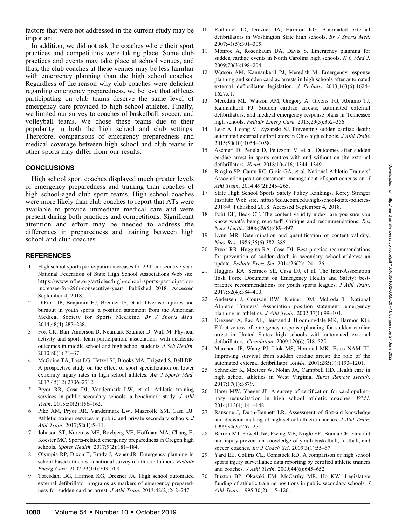factors that were not addressed in the current study may be important.

In addition, we did not ask the coaches where their sport practices and competitions were taking place. Some club practices and events may take place at school venues, and thus, the club coaches at these venues may be less familiar with emergency planning than the high school coaches. Regardless of the reason why club coaches were deficient regarding emergency preparedness, we believe that athletes participating on club teams deserve the same level of emergency care provided to high school athletes. Finally, we limited our survey to coaches of basketball, soccer, and volleyball teams. We chose these teams due to their popularity in both the high school and club settings. Therefore, comparisons of emergency preparedness and medical coverage between high school and club teams in other sports may differ from our results.

## **CONCLUSIONS**

High school sport coaches displayed much greater levels of emergency preparedness and training than coaches of high school-aged club sport teams. High school coaches were more likely than club coaches to report that ATs were available to provide immediate medical care and were present during both practices and competitions. Significant attention and effort may be needed to address the differences in preparedness and training between high school and club coaches.

# **REFERENCES**

- 1. High school sports participation increases for 29th consecutive year. National Federation of State High School Associations Web site. https://www.nfhs.org/articles/high-school-sports-participationincreases-for-29th-consecutive-year/. Published 2018. Accessed September 4, 2018.
- 2. DiFiori JP, Benjamin HJ, Brenner JS, et al. Overuse injuries and burnout in youth sports: a position statement from the American Medical Society for Sports Medicine. Br J Sports Med. 2014;48(4):287–288.
- 3. Fox CK, Barr-Anderson D, Neumark-Sztainer D, Wall M. Physical activity and sports team participation: associations with academic outcomes in middle school and high school students. J Sch Health. 2010;80(1):31–37.
- 4. McGuine TA, Post EG, Hetzel SJ, Brooks MA, Trigsted S, Bell DR. A prospective study on the effect of sport specialization on lower extremity injury rates in high school athletes. Am J Sports Med. 2017;45(12):2706–2712.
- 5. Pryor RR, Casa DJ, Vandermark LW, et al. Athletic training services in public secondary schools: a benchmark study. J Athl Train. 2015;50(2):156–162.
- 6. Pike AM, Pryor RR, Vandermark LW, Mazerolle SM, Casa DJ. Athletic trainer services in public and private secondary schools. J Athl Train. 2017;52(1):5–11.
- 7. Johnson ST, Norcross MF, Bovbjerg VE, Hoffman MA, Chang E, Koester MC. Sports-related emergency preparedness in Oregon high schools. Sports Health. 2017;9(2):181–184.
- 8. Olympia RP, Dixon T, Brady J, Avner JR. Emergency planning in school-based athletics: a national survey of athletic trainers. Pediatr Emerg Care. 2007;23(10):703–708.
- 9. Toresdahl BG, Harmon KG, Drezner JA. High school automated external defibrillator programs as markers of emergency preparedness for sudden cardiac arrest. J Athl Train. 2013;48(2):242–247.
- 10. Rothmier JD, Drezner JA, Harmon KG. Automated external defibrillators in Washington State high schools. Br J Sports Med. 2007;41(5):301–305.
- 11. Monroe A, Rosenbaum DA, Davis S. Emergency planning for sudden cardiac events in North Carolina high schools. N C Med J. 2009;70(3):198–204.
- 12. Watson AM, Kannankeril PJ, Meredith M. Emergency response planning and sudden cardiac arrests in high schools after automated external defibrillator legislation. J Pediatr. 2013;163(6):1624– 1627.e1.
- 13. Meredith ML, Watson AM, Gregory A, Givens TG, Abramo TJ, Kannankeril PJ. Sudden cardiac arrests, automated external defibrillators, and medical emergency response plans in Tennessee high schools. Pediatr Emerg Care. 2013;29(3):352–356.
- 14. Lear A, Hoang M, Zyzanski SJ. Preventing sudden cardiac death: automated external defibrillators in Ohio high schools. J Athl Train. 2015;50(10):1054–1058.
- 15. Aschieri D, Penela D, Pelizzoni V, et al. Outcomes after sudden cardiac arrest in sports centres with and without on-site external defibrillators. Heart. 2018;104(16):1344–1349.
- 16. Broglio SP, Cantu RC, Gioia GA, et al. National Athletic Trainers' Association position statement: management of sport concussion. J Athl Train. 2014;49(2):245–265.
- 17. State High School Sports Safety Policy Rankings. Korey Stringer Institute Web site. https://ksi.uconn.edu/high-school-state-policies-2018/#. Published 2018. Accessed September 4, 2018.
- 18. Polit DF, Beck CT. The content validity index: are you sure you know what's being reported? Critique and recommendations. Res Nurs Health. 2006;29(5):489–497.
- 19. Lynn MR. Determination and quantification of content validity. Nurs Res. 1986;35(6):382–385.
- 20. Pryor RR, Huggins RA, Casa DJ. Best practice recommendations for prevention of sudden death in secondary school athletes: an update. Pediatr Exerc Sci. 2014;26(2):124–126.
- 21. Huggins RA, Scarneo SE, Casa DJ, et al. The Inter-Association Task Force Document on Emergency Health and Safety: bestpractice recommendations for youth sports leagues. J Athl Train. 2017;52(4):384–400.
- 22. Andersen J, Courson RW, Kleiner DM, McLoda T. National Athletic Trainers' Association position statement: emergency planning in athletics. *J Athl Train*. 2002;37(1):99-104.
- 23. Drezner JA, Rao AL, Heistand J, Bloomingdale MK, Harmon KG. Effectiveness of emergency response planning for sudden cardiac arrest in United States high schools with automated external defibrillators. Circulation. 2009;120(6):518–525.
- 24. Marenco JP, Wang PJ, Link MS, Homoud MK, Estes NAM III. Improving survival from sudden cardiac arrest: the role of the automated external defibrillator. JAMA. 2001;285(9):1193–1201.
- 25. Schneider K, Meeteer W, Nolan JA, Campbell HD. Health care in high school athletics in West Virginia. Rural Remote Health. 2017;17(1):3879.
- 26. Harer MW, Yaeger JP. A survey of certification for cardiopulmonary resuscitation in high school athletic coaches. WMJ. 2014;113(4):144–148.
- 27. Ransone J, Dunn-Bennett LR. Assessment of first-aid knowledge and decision making of high school athletic coaches. J Athl Train. 1999;34(3):267–271.
- 28. Barron MJ, Powell JW, Ewing ME, Nogle SE, Branta CF. First aid and injury prevention knowledge of youth basketball, football, and soccer coaches. Int J Coach Sci. 2009;3(1):55-67.
- 29. Yard EE, Collins CL, Comstock RD. A comparison of high school sports injury surveillance data reporting by certified athletic trainers and coaches. J Athl Train. 2009;44(6):645–652.
- 30. Buxton BP, Okasaki EM, McCarthy MR, Ho KW. Legislative funding of athletic training positions in public secondary schools. J Athl Train. 1995;30(2):115–120.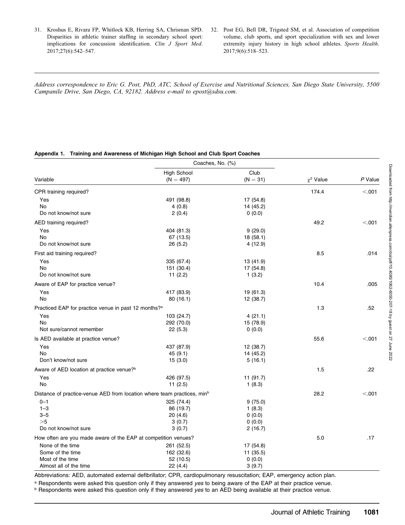- 31. Kroshus E, Rivara FP, Whitlock KB, Herring SA, Chrisman SPD. Disparities in athletic trainer staffing in secondary school sport: implications for concussion identification. Clin J Sport Med. 2017;27(6):542–547.
- 32. Post EG, Bell DR, Trigsted SM, et al. Association of competition volume, club sports, and sport specialization with sex and lower extremity injury history in high school athletes. Sports Health. 2017;9(6):518–523.

Address correspondence to Eric G. Post, PhD, ATC, School of Exercise and Nutritional Sciences, San Diego State University, 5500 Campanile Drive, San Diego, CA, 92182. Address e-mail to epost@sdsu.com.

### Appendix 1. Training and Awareness of Michigan High School and Club Sport Coaches

|                                                                                     | Coaches, No. (%)   |            |                |         |
|-------------------------------------------------------------------------------------|--------------------|------------|----------------|---------|
| Variable                                                                            | <b>High School</b> | Club       |                |         |
|                                                                                     | $(N = 497)$        | $(N = 31)$ | $\chi^2$ Value | P Value |
| CPR training required?                                                              |                    |            | 174.4          | < .001  |
| Yes                                                                                 | 491 (98.8)         | 17 (54.8)  |                |         |
| No                                                                                  | 4(0.8)             | 14 (45.2)  |                |         |
| Do not know/not sure                                                                | 2(0.4)             | 0(0.0)     |                |         |
| AED training required?                                                              |                    |            | 49.2           | < .001  |
| Yes                                                                                 | 404 (81.3)         | 9(29.0)    |                |         |
| <b>No</b>                                                                           | 67 (13.5)          | 18 (58.1)  |                |         |
| Do not know/not sure                                                                | 26(5.2)            | 4(12.9)    |                |         |
| First aid training required?                                                        |                    |            | 8.5            | .014    |
| Yes                                                                                 | 335 (67.4)         | 13 (41.9)  |                |         |
| No                                                                                  | 151 (30.4)         | 17 (54.8)  |                |         |
| Do not know/not sure                                                                | 11 $(2.2)$         | 1(3.2)     |                |         |
| Aware of EAP for practice venue?                                                    |                    |            | 10.4           | .005    |
| Yes                                                                                 | 417 (83.9)         | 19 (61.3)  |                |         |
| No                                                                                  | 80(16.1)           | 12 (38.7)  |                |         |
| Practiced EAP for practice venue in past 12 months? <sup>a</sup>                    |                    |            | 1.3            | .52     |
| Yes                                                                                 | 103 (24.7)         | 4(21.1)    |                |         |
| <b>No</b>                                                                           | 292 (70.0)         | 15 (78.9)  |                |         |
| Not sure/cannot remember                                                            | 22(5.3)            | 0(0.0)     |                |         |
| Is AED available at practice venue?                                                 |                    |            | 55.6           | < .001  |
| Yes                                                                                 | 437 (87.9)         | 12 (38.7)  |                |         |
| No                                                                                  | 45(9.1)            | 14 (45.2)  |                |         |
| Don't know/not sure                                                                 | 15(3.0)            | 5(16.1)    |                |         |
| Aware of AED location at practice venue? <sup>b</sup>                               |                    |            | 1.5            | .22     |
| Yes                                                                                 | 426 (97.5)         | 11 (91.7)  |                |         |
| No                                                                                  | 11(2.5)            | 1(8.3)     |                |         |
| Distance of practice-venue AED from location where team practices, min <sup>b</sup> |                    |            | 28.2           | < .001  |
| $0 - 1$                                                                             | 325 (74.4)         | 9(75.0)    |                |         |
| $1 - 3$                                                                             | 86 (19.7)          | 1(8.3)     |                |         |
| $3 - 5$                                                                             | 20(4.6)            | 0(0.0)     |                |         |
| >5                                                                                  | 3(0.7)             | 0(0.0)     |                |         |
| Do not know/not sure                                                                | 3(0.7)             | 2(16.7)    |                |         |
| How often are you made aware of the EAP at competition venues?                      |                    |            | 5.0            | .17     |
| None of the time                                                                    | 261 (52.5)         | 17 (54.8)  |                |         |
| Some of the time                                                                    | 162 (32.6)         | 11 (35.5)  |                |         |
| Most of the time                                                                    | 52 (10.5)          | 0(0.0)     |                |         |
| Almost all of the time                                                              | 22 (4.4)           | 3(9.7)     |                |         |

Abbreviations: AED, automated external defibrillator; CPR, cardiopulmonary resuscitation; EAP, emergency action plan.

a Respondents were asked this question only if they answered yes to being aware of the EAP at their practice venue.

**b Respondents were asked this question only if they answered yes to an AED being available at their practice venue.**